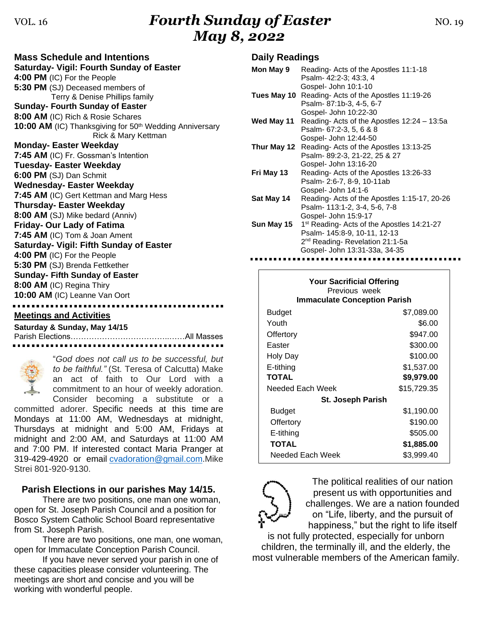# VOL. 16*Fourth Sunday of Easter* MO. 19 *May 8, 2022*

| <b>Mass Schedule and Intentions</b>                                                        |  |  |  |
|--------------------------------------------------------------------------------------------|--|--|--|
| Saturday- Vigil: Fourth Sunday of Easter                                                   |  |  |  |
| 4:00 PM (IC) For the People                                                                |  |  |  |
| 5:30 PM (SJ) Deceased members of                                                           |  |  |  |
| Terry & Denise Phillips family                                                             |  |  |  |
| <b>Sunday- Fourth Sunday of Easter</b>                                                     |  |  |  |
| 8:00 AM (IC) Rich & Rosie Schares                                                          |  |  |  |
| 10:00 AM (IC) Thanksgiving for 50 <sup>th</sup> Wedding Anniversary<br>Rick & Mary Kettman |  |  |  |
| <b>Monday-Easter Weekday</b>                                                               |  |  |  |
| 7:45 AM (IC) Fr. Gossman's Intention                                                       |  |  |  |
| <b>Tuesday- Easter Weekday</b>                                                             |  |  |  |
| 6:00 PM (SJ) Dan Schmit                                                                    |  |  |  |
| <b>Wednesday- Easter Weekday</b>                                                           |  |  |  |
| 7:45 AM (IC) Gert Kettman and Marg Hess                                                    |  |  |  |
| <b>Thursday- Easter Weekday</b>                                                            |  |  |  |
| 8:00 AM (SJ) Mike bedard (Anniv)                                                           |  |  |  |
| <b>Friday- Our Lady of Fatima</b>                                                          |  |  |  |
| 7:45 AM (IC) Tom & Joan Ament                                                              |  |  |  |
| <b>Saturday- Vigil: Fifth Sunday of Easter</b>                                             |  |  |  |
| 4:00 PM (IC) For the People                                                                |  |  |  |
| 5:30 PM (SJ) Brenda Fettkether                                                             |  |  |  |
| <b>Sunday- Fifth Sunday of Easter</b>                                                      |  |  |  |
| 8:00 AM (IC) Regina Thiry                                                                  |  |  |  |
| 10:00 AM (IC) Leanne Van Oort                                                              |  |  |  |
|                                                                                            |  |  |  |

**Meetings and Activities**

**Saturday & Sunday, May 14/15** Parish Elections………………………………..……All Masses



"*God does not call us to be successful, but to be faithful."* (St. Teresa of Calcutta) Make an act of faith to Our Lord with a commitment to an hour of weekly adoration. Consider becoming a substitute or a

committed adorer. Specific needs at this time are Mondays at 11:00 AM, Wednesdays at midnight, Thursdays at midnight and 5:00 AM, Fridays at midnight and 2:00 AM, and Saturdays at 11:00 AM and 7:00 PM. If interested contact Maria Pranger at 319-429-4920 or email [cvadoration@gmail.com.](mailto:cvadoration@gmail.com)Mike Strei 801-920-9130.

### **Parish Elections in our parishes May 14/15.**

There are two positions, one man one woman, open for St. Joseph Parish Council and a position for Bosco System Catholic School Board representative from St. Joseph Parish.

There are two positions, one man, one woman, open for Immaculate Conception Parish Council.

If you have never served your parish in one of these capacities please consider volunteering. The meetings are short and concise and you will be working with wonderful people.

### **Daily Readings**

| Mon May 9   | Reading-Acts of the Apostles 11:1-18                   |
|-------------|--------------------------------------------------------|
|             | Psalm- 42:2-3; 43:3, 4                                 |
|             | Gospel- John 10:1-10                                   |
|             | Tues May 10 Reading- Acts of the Apostles 11:19-26     |
|             | Psalm-87:1b-3, 4-5, 6-7                                |
|             | Gospel- John 10:22-30                                  |
| Wed May 11  | Reading-Acts of the Apostles 12:24 - 13:5a             |
|             | Psalm- 67:2-3, 5, 6 & 8                                |
|             | Gospel- John 12:44-50                                  |
| Thur May 12 | Reading-Acts of the Apostles 13:13-25                  |
|             | Psalm-89:2-3, 21-22, 25 & 27                           |
|             | Gospel- John 13:16-20                                  |
| Fri May 13  | Reading-Acts of the Apostles 13:26-33                  |
|             | Psalm- 2:6-7, 8-9, 10-11ab                             |
|             | Gospel- John 14:1-6                                    |
| Sat May 14  | Reading-Acts of the Apostles 1:15-17, 20-26            |
|             | Psalm- 113:1-2, 3-4, 5-6, 7-8                          |
|             | Gospel- John 15:9-17                                   |
| Sun May 15  | 1 <sup>st</sup> Reading- Acts of the Apostles 14:21-27 |
|             | Psalm- 145:8-9, 10-11, 12-13                           |
|             | 2 <sup>nd</sup> Reading-Revelation 21:1-5a             |
|             | Gospel- John 13:31-33a, 34-35                          |
|             |                                                        |

| <b>Your Sacrificial Offering</b><br>Previous week<br><b>Immaculate Conception Parish</b> |             |  |  |
|------------------------------------------------------------------------------------------|-------------|--|--|
| Budget                                                                                   | \$7,089.00  |  |  |
| Youth                                                                                    | \$6.00      |  |  |
| Offertory                                                                                | \$947.00    |  |  |
| Easter                                                                                   | \$300.00    |  |  |
| Holy Day                                                                                 | \$100.00    |  |  |
| E-tithing                                                                                | \$1,537.00  |  |  |
| <b>TOTAL</b>                                                                             | \$9,979.00  |  |  |
| Needed Each Week                                                                         | \$15,729.35 |  |  |
| <b>St. Joseph Parish</b>                                                                 |             |  |  |
| Budget                                                                                   | \$1,190.00  |  |  |
| Offertory                                                                                | \$190.00    |  |  |
| E-tithing                                                                                | \$505.00    |  |  |
| <b>TOTAL</b>                                                                             | \$1,885.00  |  |  |
| Needed Each Week                                                                         | \$3,999.40  |  |  |



The political realities of our nation present us with opportunities and challenges. We are a nation founded on "Life, liberty, and the pursuit of happiness," but the right to life itself

is not fully protected, especially for unborn children, the terminally ill, and the elderly, the most vulnerable members of the American family.